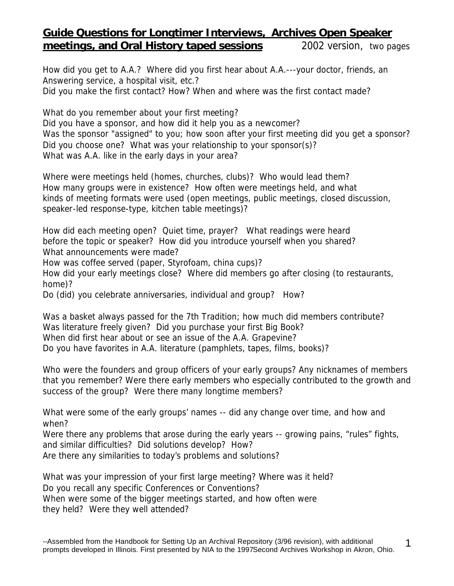## **Guide Questions for Longtimer Interviews, Archives Open Speaker meetings, and Oral History taped sessions** *2002 version, two pages*

How did you get to A.A.? Where did you first hear about A.A.---your doctor, friends, an Answering service, a hospital visit, etc.? Did you make the first contact? How? When and where was the first contact made?

What do you remember about your first meeting? Did you have a sponsor, and how did it help you as a newcomer? Was the sponsor "assigned" to you; how soon after your first meeting did you get a sponsor? Did you choose one? What was your relationship to your sponsor(s)? What was A.A. like in the early days in your area?

Where were meetings held (homes, churches, clubs)? Who would lead them? How many groups were in existence? How often were meetings held, and what kinds of meeting formats were used (open meetings, public meetings, closed discussion, speaker-led response-type, kitchen table meetings)?

How did each meeting open? Quiet time, prayer? What readings were heard before the topic or speaker? How did you introduce yourself when you shared? What announcements were made?

How was coffee served (paper, Styrofoam, china cups)?

How did your early meetings close? Where did members go after closing (to restaurants, home)?

Do (did) you celebrate anniversaries, individual and group? How?

Was a basket always passed for the 7th Tradition; how much did members contribute? Was literature freely given? Did you purchase your first Big Book? When did first hear about or see an issue of the *A.A. Grapevine*? Do you have favorites in A.A. literature (pamphlets, tapes, films, books)?

Who were the founders and group officers of your early groups? Any nicknames of members that you remember? Were there early members who especially contributed to the growth and success of the group? Were there many longtime members?

What were some of the early groups' names -- did any change over time, and how and when?

Were there any problems that arose during the early years -- growing pains, "rules" fights, and similar difficulties? Did solutions develop? How?

Are there any similarities to today's problems and solutions?

What was your impression of your first large meeting? Where was it held? Do you recall any specific Conferences or Conventions? When were some of the bigger meetings started, and how often were they held? Were they well attended?

1